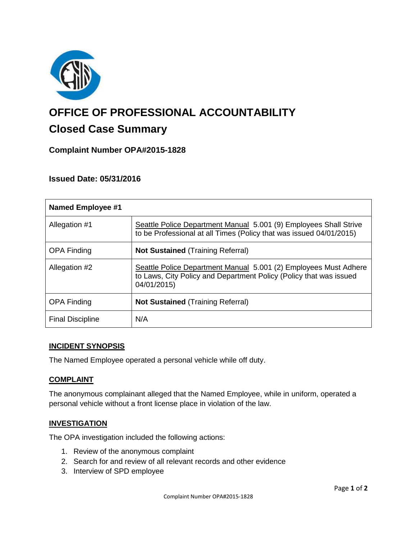

# **OFFICE OF PROFESSIONAL ACCOUNTABILITY**

# **Closed Case Summary**

# **Complaint Number OPA#2015-1828**

# **Issued Date: 05/31/2016**

| <b>Named Employee #1</b> |                                                                                                                                                       |
|--------------------------|-------------------------------------------------------------------------------------------------------------------------------------------------------|
| Allegation #1            | Seattle Police Department Manual 5.001 (9) Employees Shall Strive<br>to be Professional at all Times (Policy that was issued 04/01/2015)              |
| <b>OPA Finding</b>       | <b>Not Sustained (Training Referral)</b>                                                                                                              |
| Allegation #2            | Seattle Police Department Manual 5.001 (2) Employees Must Adhere<br>to Laws, City Policy and Department Policy (Policy that was issued<br>04/01/2015) |
| <b>OPA Finding</b>       | <b>Not Sustained (Training Referral)</b>                                                                                                              |
| <b>Final Discipline</b>  | N/A                                                                                                                                                   |

# **INCIDENT SYNOPSIS**

The Named Employee operated a personal vehicle while off duty.

# **COMPLAINT**

The anonymous complainant alleged that the Named Employee, while in uniform, operated a personal vehicle without a front license place in violation of the law.

#### **INVESTIGATION**

The OPA investigation included the following actions:

- 1. Review of the anonymous complaint
- 2. Search for and review of all relevant records and other evidence
- 3. Interview of SPD employee